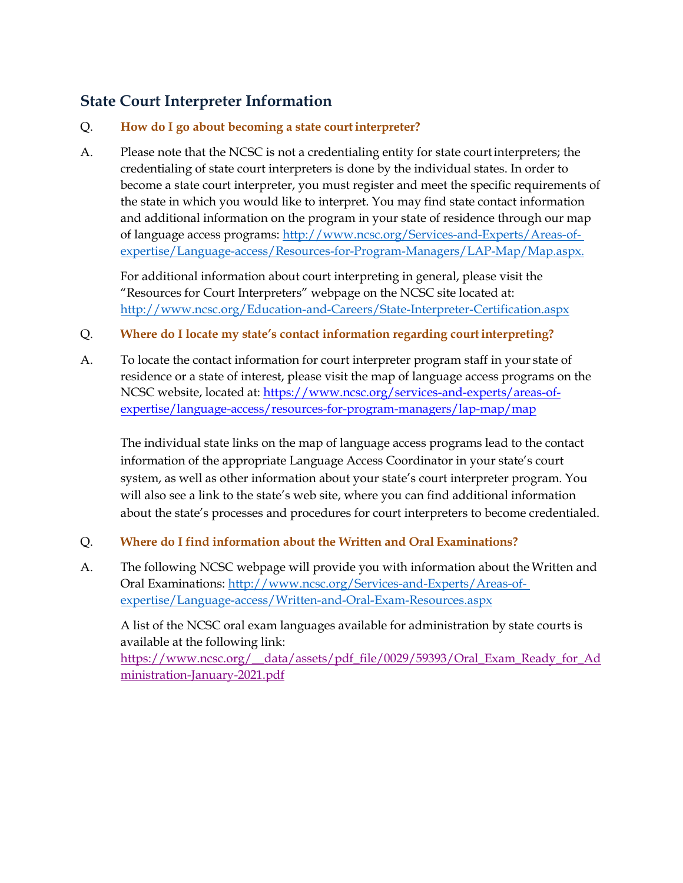# **State Court Interpreter Information**

# Q. **How do I go about becoming a state courtinterpreter?**

A. Please note that the NCSC is not a credentialing entity for state courtinterpreters; the credentialing of state court interpreters is done by the individual states. In order to become a state court interpreter, you must register and meet the specific requirements of the state in which you would like to interpret. You may find state contact information and additional information on the program in your state of residence through our map of language access programs: [http://www.ncsc.org/Services-and-Experts/Areas-of](http://www.ncsc.org/Services-and-Experts/Areas-of-expertise/Language-access/Resources-for-Program-Managers/LAP-Map/Map.aspx)[expertise/Language-access/Resources-for-Program-Managers/LAP-Map/Map.aspx.](http://www.ncsc.org/Services-and-Experts/Areas-of-expertise/Language-access/Resources-for-Program-Managers/LAP-Map/Map.aspx)

For additional information about court interpreting in general, please visit the "Resources for Court Interpreters" webpage on the NCSC site located at: <http://www.ncsc.org/Education-and-Careers/State-Interpreter-Certification.aspx>

#### Q. **Where do I locate my state's contact information regarding courtinterpreting?**

A. To locate the contact information for court interpreter program staff in your state of residence or a state of interest, please visit the map of language access programs on the NCSC website, located at: [https://www.ncsc.org/services-and-experts/areas-of](https://www.ncsc.org/services-and-experts/areas-of-expertise/language-access/resources-for-program-managers/lap-map/map)[expertise/language-access/resources-for-program-managers/lap-map/map](https://www.ncsc.org/services-and-experts/areas-of-expertise/language-access/resources-for-program-managers/lap-map/map)

The individual state links on the map of language access programs lead to the contact information of the appropriate Language Access Coordinator in your state's court system, as well as other information about your state's court interpreter program. You will also see a link to the state's web site, where you can find additional information about the state's processes and procedures for court interpreters to become credentialed.

#### Q. **Where do I find information about the Written and Oral Examinations?**

A. The following NCSC webpage will provide you with information about the Written and Oral Examinations: [http://www.ncsc.org/Services-and-Experts/Areas-of](http://www.ncsc.org/Services-and-Experts/Areas-of-expertise/Language-access/Written-and-Oral-Exam-Resources.aspx)[expertise/Language-access/Written-and-Oral-Exam-Resources.aspx](http://www.ncsc.org/Services-and-Experts/Areas-of-expertise/Language-access/Written-and-Oral-Exam-Resources.aspx)

A list of the NCSC oral exam languages available for administration by state courts is available at the following link: [https://www.ncsc.org/\\_\\_data/assets/pdf\\_file/0029/59393/Oral\\_Exam\\_Ready\\_for\\_Ad](https://www.ncsc.org/__data/assets/pdf_file/0029/59393/Oral_Exam_Ready_for_Administration-January-2021.pdf) [ministration-January-2021.pdf](https://www.ncsc.org/__data/assets/pdf_file/0029/59393/Oral_Exam_Ready_for_Administration-January-2021.pdf)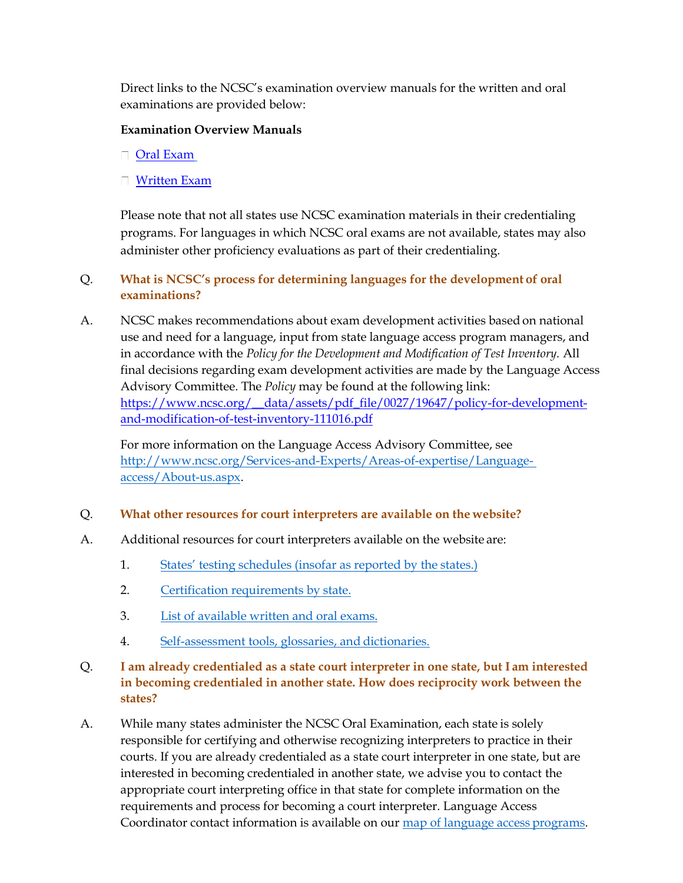Direct links to the NCSC's examination overview manuals for the written and oral examinations are provided below:

#### **Examination Overview Manuals**

- [Oral Exam](https://www.ncsc.org/__data/assets/pdf_file/0022/38083/Written-Examination-Overview-for-Candidates-5-22-20.pdf)
- □ [Written Exam](https://www.ncsc.org/__data/assets/pdf_file/0027/38088/Oral-Examination-Overview-for-Candidates-5-22-20.pdf)

Please note that not all states use NCSC examination materials in their credentialing programs. For languages in which NCSC oral exams are not available, states may also administer other proficiency evaluations as part of their credentialing.

# Q. **What is NCSC's process for determining languages for the development of oral examinations?**

A. NCSC makes recommendations about exam development activities based on national use and need for a language, input from state language access program managers, and in accordance with the *Policy for the Development and Modification of Test Inventory.* All final decisions regarding exam development activities are made by the Language Access Advisory Committee. The *Policy* may be found at the following link: [https://www.ncsc.org/\\_\\_data/assets/pdf\\_file/0027/19647/policy-for-development](https://www.ncsc.org/__data/assets/pdf_file/0027/19647/policy-for-development-and-modification-of-test-inventory-111016.pdf)[and-modification-of-test-inventory-111016.pdf](https://www.ncsc.org/__data/assets/pdf_file/0027/19647/policy-for-development-and-modification-of-test-inventory-111016.pdf)

For more information on the Language Access Advisory Committee, see [http://www.ncsc.org/Services-and-Experts/Areas-of-expertise/Language](http://www.ncsc.org/Services-and-Experts/Areas-of-expertise/Language-access/About-us.aspx)[access/About-us.aspx.](http://www.ncsc.org/Services-and-Experts/Areas-of-expertise/Language-access/About-us.aspx)

#### Q. **What other resources for court interpreters are available on the website?**

- A. Additional resources for court interpreters available on the website are:
	- 1. [States' testing schedules \(insofar as reported by the](http://www.ncsc.org/Services-and-Experts/Areas-of-expertise/Language-access/Resources-for-Program-Managers/LAP-Map/Map.aspx) states.)
	- 2. [Certification requirements by](http://www.ncsc.org/Services-and-Experts/Areas-of-expertise/Language-access/Resources-for-Program-Managers/LAP-Map/Map.aspx) state.
	- 3. [List of available written and oral](http://www.ncsc.org/Services-and-Experts/Areas-of-expertise/Language-access/Written-and-Oral-Exam-Resources.aspx) exams.
	- 4. [Self-assessment tools, glossaries, and](http://www.ncsc.org/Education-and-Careers/State-Interpreter-Certification/Self-Assessment-Tools.aspx) dictionaries.

# Q. **I am already credentialed as a state court interpreter in one state, but I am interested in becoming credentialed in another state. How does reciprocity work between the states?**

A. While many states administer the NCSC Oral Examination, each state is solely responsible for certifying and otherwise recognizing interpreters to practice in their courts. If you are already credentialed as a state court interpreter in one state, but are interested in becoming credentialed in another state, we advise you to contact the appropriate court interpreting office in that state for complete information on the requirements and process for becoming a court interpreter. Language Access Coordinator contact information is available on our [map of language access](http://www.ncsc.org/Services-and-Experts/Areas-of-expertise/Language-access/Resources-for-Program-Managers/LAP-Map/Map.aspx) programs.